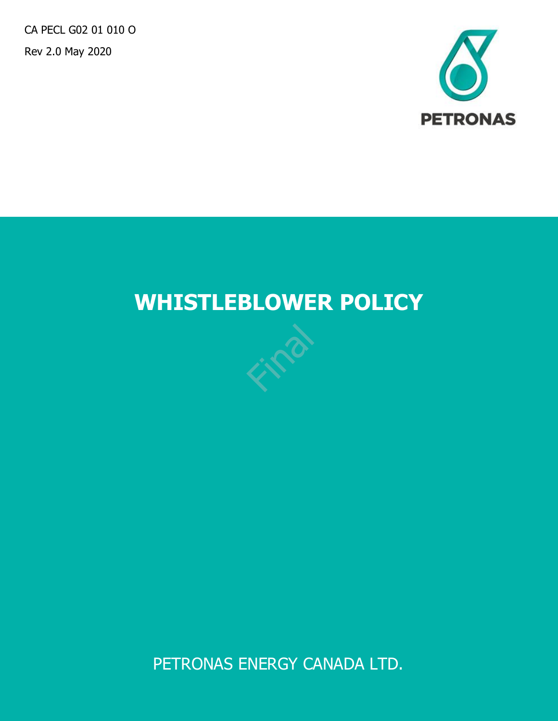CA PECL G02 01 010 O Rev 2.0 May 2020



# **WHISTLEBLOWER POLICY**

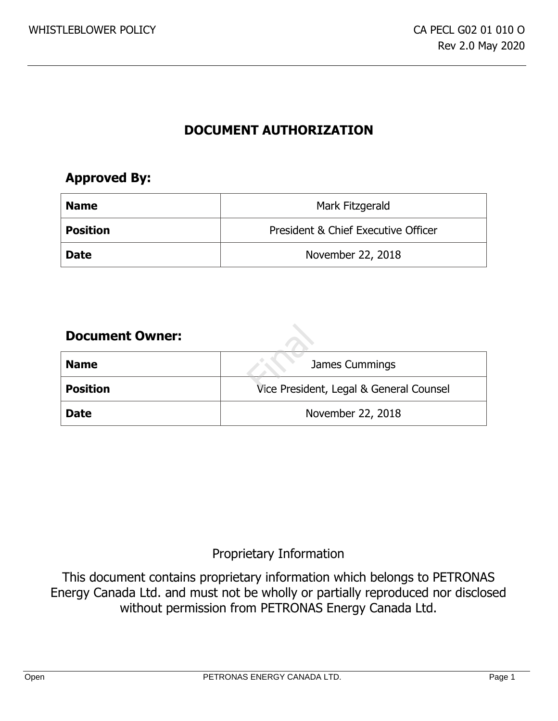# **DOCUMENT AUTHORIZATION**

# **Approved By:**

| <b>Name</b>     | Mark Fitzgerald                     |
|-----------------|-------------------------------------|
| <b>Position</b> | President & Chief Executive Officer |
| <b>Date</b>     | November 22, 2018                   |

## **Document Owner:**

| <b>Document Owner:</b> |                                         |
|------------------------|-----------------------------------------|
| <b>Name</b>            | James Cummings                          |
| <b>Position</b>        | Vice President, Legal & General Counsel |
| <b>Date</b>            | November 22, 2018                       |

# Proprietary Information

This document contains proprietary information which belongs to PETRONAS Energy Canada Ltd. and must not be wholly or partially reproduced nor disclosed without permission from PETRONAS Energy Canada Ltd.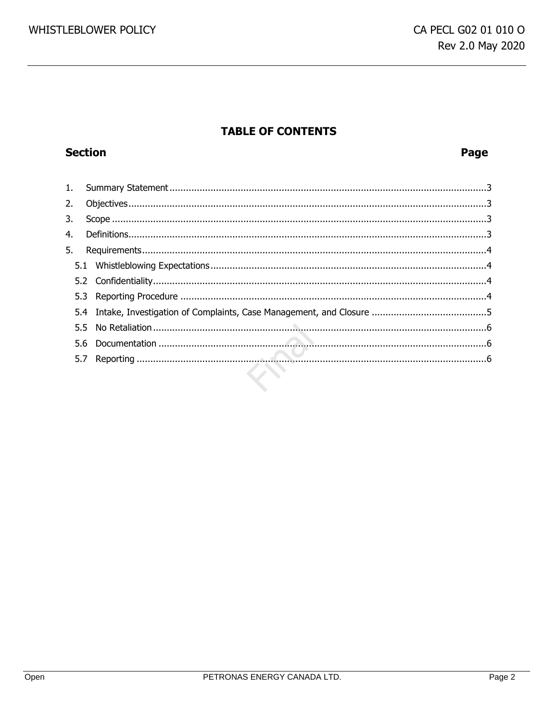# **TABLE OF CONTENTS**

# **Section**

## Page

| 2. |  |
|----|--|
| 3. |  |
| 4. |  |
| 5. |  |
|    |  |
|    |  |
|    |  |
|    |  |
|    |  |
|    |  |
|    |  |
|    |  |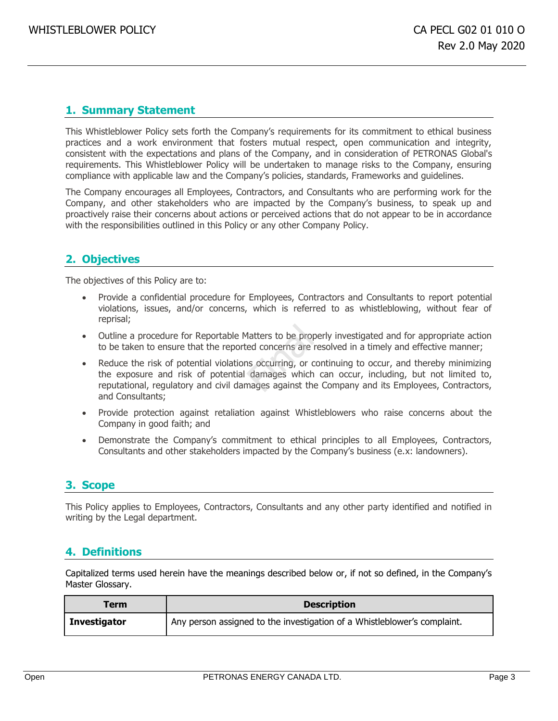## <span id="page-3-0"></span>**1. Summary Statement**

This Whistleblower Policy sets forth the Company's requirements for its commitment to ethical business practices and a work environment that fosters mutual respect, open communication and integrity, consistent with the expectations and plans of the Company, and in consideration of PETRONAS Global's requirements. This Whistleblower Policy will be undertaken to manage risks to the Company, ensuring compliance with applicable law and the Company's policies, standards, Frameworks and guidelines.

The Company encourages all Employees, Contractors, and Consultants who are performing work for the Company, and other stakeholders who are impacted by the Company's business, to speak up and proactively raise their concerns about actions or perceived actions that do not appear to be in accordance with the responsibilities outlined in this Policy or any other Company Policy.

## <span id="page-3-1"></span>**2. Objectives**

The objectives of this Policy are to:

- Provide a confidential procedure for Employees, Contractors and Consultants to report potential violations, issues, and/or concerns, which is referred to as whistleblowing, without fear of reprisal;
- Outline a procedure for Reportable Matters to be properly investigated and for appropriate action to be taken to ensure that the reported concerns are resolved in a timely and effective manner;
- Reduce the risk of potential violations occurring, or continuing to occur, and thereby minimizing the exposure and risk of potential damages which can occur, including, but not limited to, reputational, regulatory and civil damages against the Company and its Employees, Contractors, and Consultants; Matters to be prop<br>ed concerns are<br>is occurring, or c<br>damages which<br>nages against the
- Provide protection against retaliation against Whistleblowers who raise concerns about the Company in good faith; and
- Demonstrate the Company's commitment to ethical principles to all Employees, Contractors, Consultants and other stakeholders impacted by the Company's business (e.x: landowners).

## <span id="page-3-2"></span>**3. Scope**

This Policy applies to Employees, Contractors, Consultants and any other party identified and notified in writing by the Legal department.

## <span id="page-3-3"></span>**4. Definitions**

Capitalized terms used herein have the meanings described below or, if not so defined, in the Company's Master Glossary.

| Term                | <b>Description</b>                                                       |
|---------------------|--------------------------------------------------------------------------|
| <b>Investigator</b> | Any person assigned to the investigation of a Whistleblower's complaint. |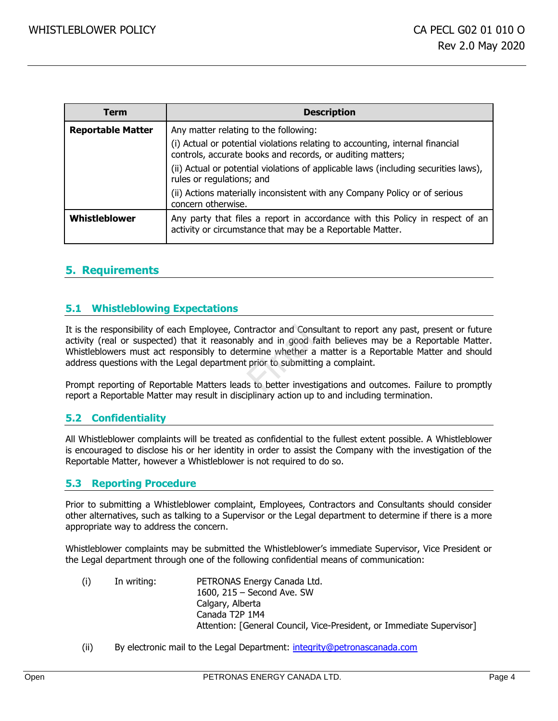| Term                     | <b>Description</b>                                                                                                                          |
|--------------------------|---------------------------------------------------------------------------------------------------------------------------------------------|
| <b>Reportable Matter</b> | Any matter relating to the following:                                                                                                       |
|                          | (i) Actual or potential violations relating to accounting, internal financial<br>controls, accurate books and records, or auditing matters; |
|                          | (ii) Actual or potential violations of applicable laws (including securities laws),<br>rules or regulations; and                            |
|                          | (ii) Actions materially inconsistent with any Company Policy or of serious<br>concern otherwise.                                            |
| Whistleblower            | Any party that files a report in accordance with this Policy in respect of an<br>activity or circumstance that may be a Reportable Matter.  |

## <span id="page-4-0"></span>**5. Requirements**

### <span id="page-4-1"></span>**5.1 Whistleblowing Expectations**

It is the responsibility of each Employee, Contractor and Consultant to report any past, present or future activity (real or suspected) that it reasonably and in good faith believes may be a Reportable Matter.<br>Whistleblowe activity (real or suspected) that it reasonably and in good faith believes may be a Reportable Matter. Whistleblowers must act responsibly to determine whether a matter is a Reportable Matter and should address questions with the Legal department prior to submitting a complaint.

Prompt reporting of Reportable Matters leads to better investigations and outcomes. Failure to promptly report a Reportable Matter may result in disciplinary action up to and including termination.

#### <span id="page-4-2"></span>**5.2 Confidentiality**

All Whistleblower complaints will be treated as confidential to the fullest extent possible. A Whistleblower is encouraged to disclose his or her identity in order to assist the Company with the investigation of the Reportable Matter, however a Whistleblower is not required to do so.

#### <span id="page-4-3"></span>**5.3 Reporting Procedure**

Prior to submitting a Whistleblower complaint, Employees, Contractors and Consultants should consider other alternatives, such as talking to a Supervisor or the Legal department to determine if there is a more appropriate way to address the concern.

Whistleblower complaints may be submitted the Whistleblower's immediate Supervisor, Vice President or the Legal department through one of the following confidential means of communication:

- (i) In writing: PETRONAS Energy Canada Ltd. 1600, 215 – Second Ave. SW Calgary, Alberta Canada T2P 1M4 Attention: [General Council, Vice-President, or Immediate Supervisor]
- (ii) By electronic mail to the Legal Department: [integrity@petronascanada.com](mailto:integrity@progressenergy.com)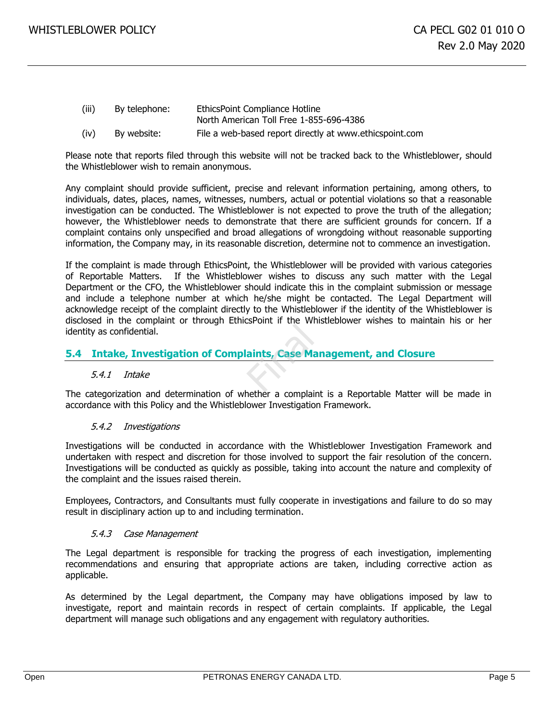- (iii) By telephone: EthicsPoint Compliance Hotline North American Toll Free 1-855-696-4386
- (iv) By website: File a web-based report directly at www.ethicspoint.com

Please note that reports filed through this website will not be tracked back to the Whistleblower, should the Whistleblower wish to remain anonymous.

Any complaint should provide sufficient, precise and relevant information pertaining, among others, to individuals, dates, places, names, witnesses, numbers, actual or potential violations so that a reasonable investigation can be conducted. The Whistleblower is not expected to prove the truth of the allegation; however, the Whistleblower needs to demonstrate that there are sufficient grounds for concern. If a complaint contains only unspecified and broad allegations of wrongdoing without reasonable supporting information, the Company may, in its reasonable discretion, determine not to commence an investigation.

If the complaint is made through EthicsPoint, the Whistleblower will be provided with various categories of Reportable Matters. If the Whistleblower wishes to discuss any such matter with the Legal Department or the CFO, the Whistleblower should indicate this in the complaint submission or message and include a telephone number at which he/she might be contacted. The Legal Department will acknowledge receipt of the complaint directly to the Whistleblower if the identity of the Whistleblower is disclosed in the complaint or through EthicsPoint if the Whistleblower wishes to maintain his or her identity as confidential. aints, Case Ma

### <span id="page-5-0"></span>**5.4 Intake, Investigation of Complaints, Case Management, and Closure**

#### 5.4.1 Intake

The categorization and determination of whether a complaint is a Reportable Matter will be made in accordance with this Policy and the Whistleblower Investigation Framework.

#### 5.4.2 Investigations

Investigations will be conducted in accordance with the Whistleblower Investigation Framework and undertaken with respect and discretion for those involved to support the fair resolution of the concern. Investigations will be conducted as quickly as possible, taking into account the nature and complexity of the complaint and the issues raised therein.

Employees, Contractors, and Consultants must fully cooperate in investigations and failure to do so may result in disciplinary action up to and including termination.

#### 5.4.3 Case Management

The Legal department is responsible for tracking the progress of each investigation, implementing recommendations and ensuring that appropriate actions are taken, including corrective action as applicable.

As determined by the Legal department, the Company may have obligations imposed by law to investigate, report and maintain records in respect of certain complaints. If applicable, the Legal department will manage such obligations and any engagement with regulatory authorities.